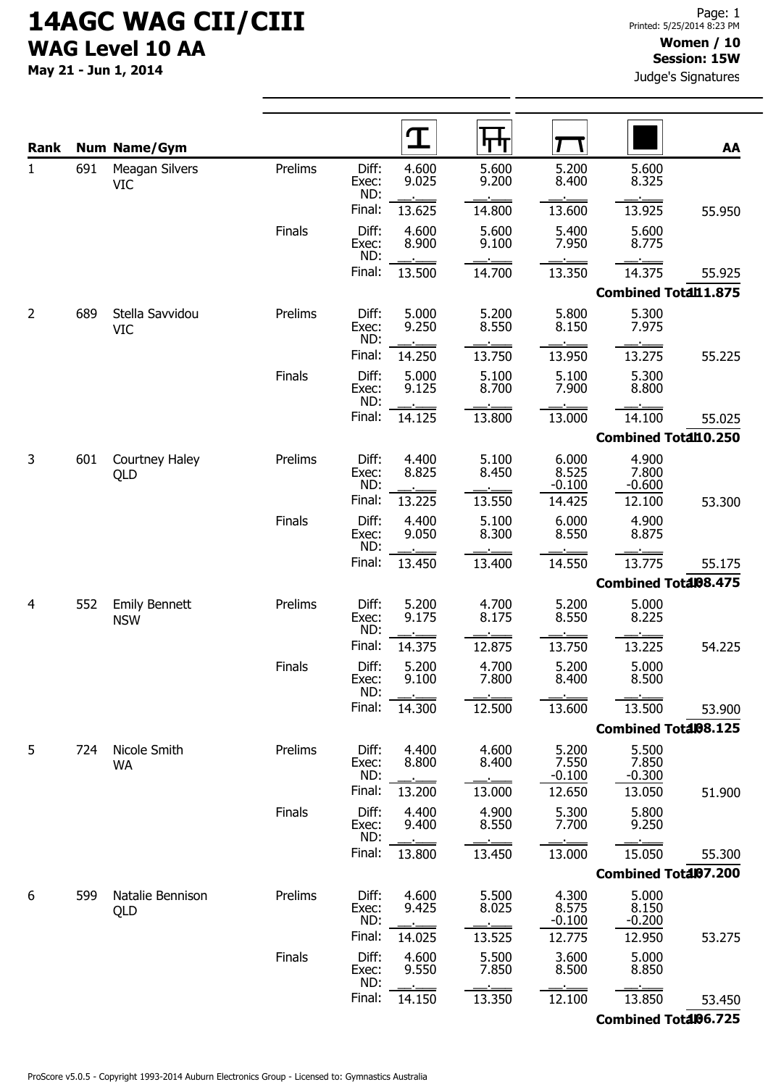May 21 - Jun 1, 2014

Judge's Signatures

| Rank         |     | <b>Num Name/Gym</b>                |         |                       | $\mathbf T$    | पाण            |                            |                             | AA     |
|--------------|-----|------------------------------------|---------|-----------------------|----------------|----------------|----------------------------|-----------------------------|--------|
| $\mathbf{1}$ | 691 | Meagan Silvers<br><b>VIC</b>       | Prelims | Diff:<br>Exec:<br>ND: | 4.600<br>9.025 | 5.600<br>9.200 | 5.200<br>8.400             | 5.600<br>8.325              |        |
|              |     |                                    |         | Final:                | 13.625         | 14.800         | 13.600                     | 13.925                      | 55.950 |
|              |     |                                    | Finals  | Diff:<br>Exec:<br>ND: | 4.600<br>8.900 | 5.600<br>9.100 | 5.400<br>7.950             | 5.600<br>8.775              |        |
|              |     |                                    |         | Final:                | 13.500         | 14.700         | 13.350                     | 14.375                      | 55.925 |
|              |     |                                    |         |                       |                |                |                            | <b>Combined Total11.875</b> |        |
| 2            | 689 | Stella Savvidou<br><b>VIC</b>      | Prelims | Diff:<br>Exec:<br>ND: | 5.000<br>9.250 | 5.200<br>8.550 | 5.800<br>8.150             | 5.300<br>7.975              |        |
|              |     |                                    |         | Final:                | 14.250         | 13.750         | 13.950                     | 13.275                      | 55.225 |
|              |     |                                    | Finals  | Diff:<br>Exec:<br>ND: | 5.000<br>9.125 | 5.100<br>8.700 | 5.100<br>7.900             | 5.300<br>8.800              |        |
|              |     |                                    |         | Final:                | 14.125         | 13.800         | 13.000                     | 14.100                      | 55.025 |
|              |     |                                    |         |                       |                |                |                            | Combined Total10.250        |        |
| 3            | 601 | Courtney Haley<br>QLD              | Prelims | Diff:<br>Exec:<br>ND: | 4.400<br>8.825 | 5.100<br>8.450 | 6.000<br>8.525<br>$-0.100$ | 4.900<br>7.800<br>$-0.600$  |        |
|              |     |                                    |         | Final:                | 13.225         | 13.550         | 14.425                     | 12.100                      | 53.300 |
|              |     |                                    | Finals  | Diff:<br>Exec:<br>ND: | 4.400<br>9.050 | 5.100<br>8.300 | 6.000<br>8.550             | 4.900<br>8.875              |        |
|              |     |                                    |         | Final:                | 13.450         | 13.400         | 14.550                     | 13.775                      | 55.175 |
|              |     |                                    |         |                       |                |                |                            | <b>Combined Total08.475</b> |        |
| 4            | 552 | <b>Emily Bennett</b><br><b>NSW</b> | Prelims | Diff:<br>Exec:<br>ND: | 5.200<br>9.175 | 4.700<br>8.175 | 5.200<br>8.550             | 5.000<br>8.225              |        |
|              |     |                                    |         | Final:                | 14.375         | 12.875         | 13.750                     | 13.225                      | 54.225 |
|              |     |                                    | Finals  | Diff:<br>Exec:<br>ND: | 5.200<br>9.100 | 4.700<br>7.800 | 5.200<br>8.400             | 5.000<br>8.500              |        |
|              |     |                                    |         | Final:                | 14.300         | 12.500         | 13.600                     | 13.500                      | 53.900 |
|              |     |                                    |         |                       |                |                |                            | Combined Total08.125        |        |
| 5            | 724 | Nicole Smith<br><b>WA</b>          | Prelims | Diff:<br>Exec:<br>ND: | 4.400<br>8.800 | 4.600<br>8.400 | 5.200<br>7.550<br>$-0.100$ | 5.500<br>7.850<br>$-0.300$  |        |
|              |     |                                    |         | Final:                | 13.200         | 13.000         | 12.650                     | 13.050                      | 51.900 |
|              |     |                                    | Finals  | Diff:<br>Exec:<br>ND: | 4.400<br>9.400 | 4.900<br>8.550 | 5.300<br>7.700             | 5.800<br>9.250              |        |
|              |     |                                    |         | Final:                | 13.800         | 13.450         | 13.000                     | 15.050                      | 55.300 |
|              |     |                                    |         |                       |                |                |                            | Combined Total07.200        |        |
| 6            | 599 | Natalie Bennison<br>QLD            | Prelims | Diff:<br>Exec:<br>ND: | 4.600<br>9.425 | 5.500<br>8.025 | 4.300<br>8.575<br>$-0.100$ | 5.000<br>8.150<br>$-0.200$  |        |
|              |     |                                    |         | Final:                | 14.025         | 13.525         | 12.775                     | 12.950                      | 53.275 |
|              |     |                                    | Finals  | Diff:<br>Exec:<br>ND: | 4.600<br>9.550 | 5.500<br>7.850 | 3.600<br>8.500             | 5.000<br>8.850              |        |
|              |     |                                    |         | Final:                | 14.150         | 13.350         | 12.100                     | 13.850                      | 53.450 |
|              |     |                                    |         |                       |                |                |                            | Combined Total06.725        |        |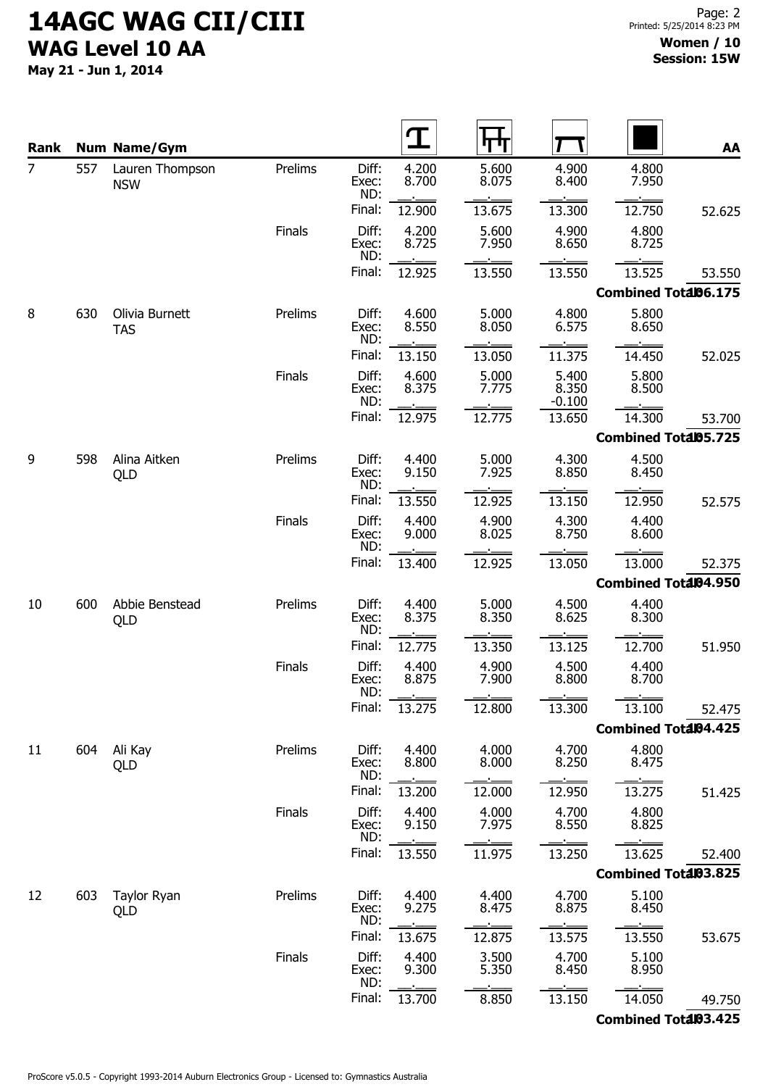May 21 - Jun 1, 2014

| Rank           |     | <b>Num Name/Gym</b>           |         |                       |                |                |                            |                             | AA     |
|----------------|-----|-------------------------------|---------|-----------------------|----------------|----------------|----------------------------|-----------------------------|--------|
| $\overline{7}$ | 557 | Lauren Thompson<br><b>NSW</b> | Prelims | Diff:<br>Exec:<br>ND: | 4.200<br>8.700 | 5.600<br>8.075 | 4.900<br>8.400             | 4.800<br>7.950              |        |
|                |     |                               |         | Final:                | 12.900         | 13.675         | 13.300                     | 12.750                      | 52.625 |
|                |     |                               | Finals  | Diff:<br>Exec:<br>ND: | 4.200<br>8.725 | 5.600<br>7.950 | 4.900<br>8.650             | 4.800<br>8.725              |        |
|                |     |                               |         | Final:                | 12.925         | 13.550         | 13.550                     | 13.525                      | 53.550 |
|                |     |                               |         |                       |                |                |                            | Combined Total06.175        |        |
| 8              | 630 | Olivia Burnett<br><b>TAS</b>  | Prelims | Diff:<br>Exec:<br>ND: | 4.600<br>8.550 | 5.000<br>8.050 | 4.800<br>6.575             | 5.800<br>8.650              |        |
|                |     |                               |         | Final:                | 13.150         | 13.050         | 11.375                     | 14.450                      | 52.025 |
|                |     |                               | Finals  | Diff:<br>Exec:<br>ND: | 4.600<br>8.375 | 5.000<br>7.775 | 5.400<br>8.350<br>$-0.100$ | 5.800<br>8.500              |        |
|                |     |                               |         | Final:                | 12.975         | 12.775         | 13.650                     | 14.300                      | 53.700 |
|                |     |                               |         |                       |                |                |                            | Combined Total05.725        |        |
| 9              | 598 | Alina Aitken<br>QLD           | Prelims | Diff:<br>Exec:<br>ND: | 4.400<br>9.150 | 5.000<br>7.925 | 4.300<br>8.850             | 4.500<br>8.450              |        |
|                |     |                               |         | Final:                | 13.550         | 12.925         | 13.150                     | 12.950                      | 52.575 |
|                |     |                               | Finals  | Diff:<br>Exec:<br>ND: | 4.400<br>9.000 | 4.900<br>8.025 | 4.300<br>8.750             | 4.400<br>8.600              |        |
|                |     |                               |         | Final:                | 13.400         | 12.925         | 13.050                     | 13.000                      | 52.375 |
|                |     |                               |         |                       |                |                |                            | <b>Combined Total04.950</b> |        |
| 10             | 600 | Abbie Benstead<br>QLD         | Prelims | Diff:<br>Exec:<br>ND: | 4.400<br>8.375 | 5.000<br>8.350 | 4.500<br>8.625             | 4.400<br>8.300              |        |
|                |     |                               |         | Final:                | 12.775         | 13.350         | 13.125                     | 12.700                      | 51.950 |
|                |     |                               | Finals  | Diff:<br>Exec:<br>ND: | 4.400<br>8.875 | 4.900<br>7.900 | 4.500<br>8.800             | 4.400<br>8.700              |        |
|                |     |                               |         | Final:                | 13.275         | 12.800         | 13.300                     | 13.100                      | 52.475 |
|                |     |                               |         |                       |                |                |                            | Combined Total04.425        |        |
| 11             | 604 | Ali Kay<br>QLD                | Prelims | Diff:<br>Exec:<br>ND: | 4.400<br>8.800 | 4.000<br>8.000 | 4.700<br>8.250             | 4.800<br>8.475              |        |
|                |     |                               |         | Final:                | 13.200         | 12.000         | 12.950                     | 13.275                      | 51.425 |
|                |     |                               | Finals  | Diff:<br>Exec:<br>ND: | 4.400<br>9.150 | 4.000<br>7.975 | 4.700<br>8.550             | 4.800<br>8.825              |        |
|                |     |                               |         | Final:                | 13.550         | 11.975         | 13.250                     | 13.625                      | 52.400 |
|                |     |                               |         |                       |                |                |                            | Combined Total03.825        |        |
| 12             | 603 | Taylor Ryan<br>QLD            | Prelims | Diff:<br>Exec:<br>ND: | 4.400<br>9.275 | 4.400<br>8.475 | 4.700<br>8.875             | 5.100<br>8.450              |        |
|                |     |                               |         | Final:                | 13.675         | 12.875         | 13.575                     | 13.550                      | 53.675 |
|                |     |                               | Finals  | Diff:<br>Exec:<br>ND: | 4.400<br>9.300 | 3.500<br>5.350 | 4.700<br>8.450             | 5.100<br>8.950              |        |
|                |     |                               |         | Final:                | 13.700         | 8.850          | 13.150                     | 14.050                      | 49.750 |
|                |     |                               |         |                       |                |                |                            | Combined Total03.425        |        |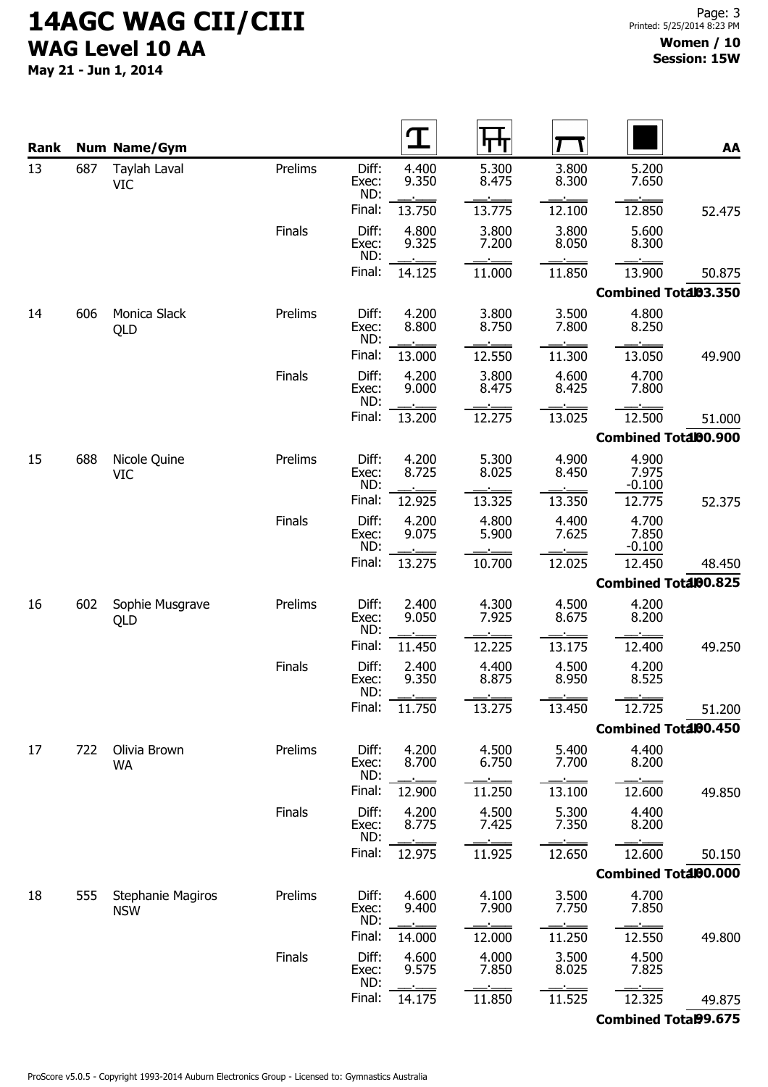May 21 - Jun 1, 2014

| Rank |     | <b>Num Name/Gym</b>                    |               |                       |                |                |                |                             | AA     |
|------|-----|----------------------------------------|---------------|-----------------------|----------------|----------------|----------------|-----------------------------|--------|
| 13   | 687 | Taylah Laval<br><b>VIC</b>             | Prelims       | Diff:<br>Exec:<br>ND: | 4.400<br>9.350 | 5.300<br>8.475 | 3.800<br>8.300 | 5.200<br>7.650              |        |
|      |     |                                        |               | Final:                | 13.750         | 13.775         | 12.100         | 12.850                      | 52.475 |
|      |     |                                        | Finals        | Diff:<br>Exec:<br>ND: | 4.800<br>9.325 | 3.800<br>7.200 | 3.800<br>8.050 | 5.600<br>8.300              |        |
|      |     |                                        |               | Final:                | 14.125         | 11.000         | 11.850         | 13.900                      | 50.875 |
|      |     |                                        |               |                       |                |                |                | Combined Total03.350        |        |
| 14   | 606 | Monica Slack<br>QLD                    | Prelims       | Diff:<br>Exec:<br>ND: | 4.200<br>8.800 | 3.800<br>8.750 | 3.500<br>7.800 | 4.800<br>8.250              |        |
|      |     |                                        |               | Final:                | 13.000         | 12.550         | 11.300         | 13.050                      | 49.900 |
|      |     |                                        | Finals        | Diff:<br>Exec:<br>ND: | 4.200<br>9.000 | 3.800<br>8.475 | 4.600<br>8.425 | 4.700<br>7.800              |        |
|      |     |                                        |               | Final:                | 13.200         | 12.275         | 13.025         | 12.500                      | 51.000 |
|      |     |                                        |               |                       |                |                |                | Combined Total00.900        |        |
| 15   | 688 | Nicole Quine<br><b>VIC</b>             | Prelims       | Diff:<br>Exec:<br>ND: | 4.200<br>8.725 | 5.300<br>8.025 | 4.900<br>8.450 | 4.900<br>7.975<br>$-0.100$  |        |
|      |     |                                        |               | Final:                | 12.925         | 13.325         | 13.350         | 12.775                      | 52.375 |
|      |     |                                        | Finals        | Diff:<br>Exec:<br>ND: | 4.200<br>9.075 | 4.800<br>5.900 | 4.400<br>7.625 | 4.700<br>7.850<br>$-0.100$  |        |
|      |     |                                        |               | Final:                | 13.275         | 10.700         | 12.025         | 12.450                      | 48.450 |
|      |     |                                        |               |                       |                |                |                | Combined Total00.825        |        |
| 16   | 602 | Sophie Musgrave<br>QLD                 | Prelims       | Diff:<br>Exec:<br>ND: | 2.400<br>9.050 | 4.300<br>7.925 | 4.500<br>8.675 | 4.200<br>8.200              |        |
|      |     |                                        |               | Final:                | 11.450         | 12.225         | 13.175         | 12.400                      | 49.250 |
|      |     |                                        | Finals        | Diff:<br>Exec:<br>ND: | 2.400<br>9.350 | 4.400<br>8.875 | 4.500<br>8.950 | 4.200<br>8.525              |        |
|      |     |                                        |               | Final:                | 11.750         | 13.275         | 13.450         | 12.725                      | 51.200 |
|      |     |                                        |               |                       |                |                |                | Combined Total00.450        |        |
| 17   | 722 | Olivia Brown<br><b>WA</b>              | Prelims       | Diff:<br>Exec:<br>ND: | 4.200<br>8.700 | 4.500<br>6.750 | 5.400<br>7.700 | 4.400<br>8.200              |        |
|      |     |                                        |               | Final:                | 12.900         | 11.250         | 13.100         | 12.600                      | 49.850 |
|      |     |                                        | <b>Finals</b> | Diff:<br>Exec:<br>ND: | 4.200<br>8.775 | 4.500<br>7.425 | 5.300<br>7.350 | 4.400<br>8.200              |        |
|      |     |                                        |               | Final:                | 12.975         | 11.925         | 12.650         | 12.600                      | 50.150 |
|      |     |                                        |               |                       |                |                |                | Combined Total00.000        |        |
| 18   | 555 | <b>Stephanie Magiros</b><br><b>NSW</b> | Prelims       | Diff:<br>Exec:<br>ND: | 4.600<br>9.400 | 4.100<br>7.900 | 3.500<br>7.750 | 4.700<br>7.850              |        |
|      |     |                                        |               | Final:                | 14.000         | 12.000         | 11.250         | 12.550                      | 49.800 |
|      |     |                                        | Finals        | Diff:<br>Exec:<br>ND: | 4.600<br>9.575 | 4.000<br>7.850 | 3.500<br>8.025 | 4.500<br>7.825              |        |
|      |     |                                        |               | Final:                | 14.175         | 11.850         | 11.525         | 12.325                      | 49.875 |
|      |     |                                        |               |                       |                |                |                | <b>Combined Total99.675</b> |        |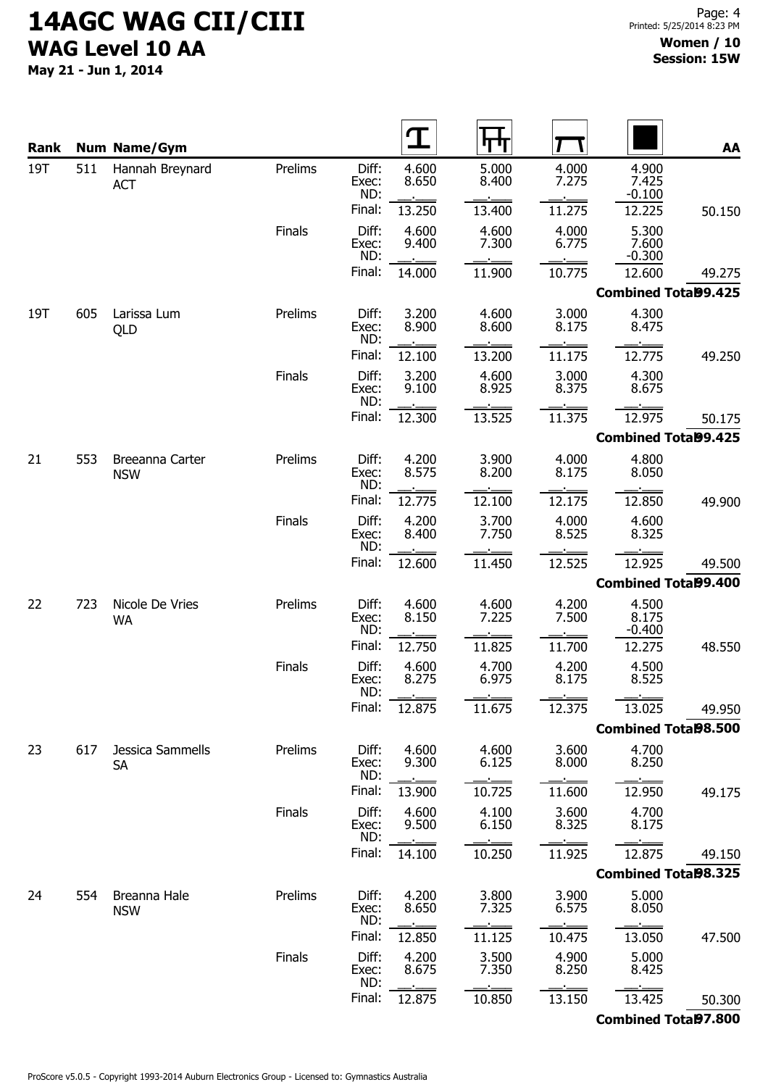May 21 - Jun 1, 2014

| <b>Rank</b> |     | <b>Num Name/Gym</b>           |         |                       |                |                |                |                             | AA     |
|-------------|-----|-------------------------------|---------|-----------------------|----------------|----------------|----------------|-----------------------------|--------|
| 19T         | 511 | Hannah Breynard<br><b>ACT</b> | Prelims | Diff:<br>Exec:<br>ND: | 4.600<br>8.650 | 5.000<br>8.400 | 4.000<br>7.275 | 4.900<br>7.425<br>$-0.100$  |        |
|             |     |                               |         | Final:                | 13.250         | 13.400         | 11.275         | 12.225                      | 50.150 |
|             |     |                               | Finals  | Diff:<br>Exec:<br>ND: | 4.600<br>9.400 | 4.600<br>7.300 | 4.000<br>6.775 | 5.300<br>7.600<br>$-0.300$  |        |
|             |     |                               |         | Final:                | 14.000         | 11.900         | 10.775         | 12.600                      | 49.275 |
|             |     |                               |         |                       |                |                |                | <b>Combined Total99.425</b> |        |
| 19T         | 605 | Larissa Lum<br>QLD            | Prelims | Diff:<br>Exec:<br>ND: | 3.200<br>8.900 | 4.600<br>8.600 | 3.000<br>8.175 | 4.300<br>8.475              |        |
|             |     |                               |         | Final:                | 12.100         | 13.200         | 11.175         | 12.775                      | 49.250 |
|             |     |                               | Finals  | Diff:<br>Exec:<br>ND: | 3.200<br>9.100 | 4.600<br>8.925 | 3.000<br>8.375 | 4.300<br>8.675              |        |
|             |     |                               |         | Final:                | 12.300         | 13.525         | 11.375         | 12.975                      | 50.175 |
|             |     |                               |         |                       |                |                |                | <b>Combined Total99.425</b> |        |
| 21          | 553 | Breeanna Carter<br><b>NSW</b> | Prelims | Diff:<br>Exec:<br>ND: | 4.200<br>8.575 | 3.900<br>8.200 | 4.000<br>8.175 | 4.800<br>8.050              |        |
|             |     |                               |         | Final:                | 12.775         | 12.100         | 12.175         | 12.850                      | 49.900 |
|             |     |                               | Finals  | Diff:<br>Exec:<br>ND: | 4.200<br>8.400 | 3.700<br>7.750 | 4.000<br>8.525 | 4.600<br>8.325              |        |
|             |     |                               |         | Final:                | 12.600         | 11.450         | 12.525         | 12.925                      | 49.500 |
|             |     |                               |         |                       |                |                |                | <b>Combined Total99.400</b> |        |
| 22          | 723 | Nicole De Vries<br><b>WA</b>  | Prelims | Diff:<br>Exec:<br>ND: | 4.600<br>8.150 | 4.600<br>7.225 | 4.200<br>7.500 | 4.500<br>8.175<br>$-0.400$  |        |
|             |     |                               |         | Final:                | 12.750         | 11.825         | 11.700         | 12.275                      | 48.550 |
|             |     |                               | Finals  | Diff:<br>Exec:<br>ND: | 4.600<br>8.275 | 4.700<br>6.975 | 4.200<br>8.175 | 4.500<br>8.525              |        |
|             |     |                               |         | Final:                | 12.875         | 11.675         | 12.375         | 13.025                      | 49.950 |
|             |     |                               |         |                       |                |                |                | <b>Combined Total98.500</b> |        |
| 23          | 617 | Jessica Sammells<br><b>SA</b> | Prelims | Diff:<br>Exec:<br>ND: | 4.600<br>9.300 | 4.600<br>6.125 | 3.600<br>8.000 | 4.700<br>8.250              |        |
|             |     |                               |         | Final:                | 13.900         | 10.725         | 11.600         | 12.950                      | 49.175 |
|             |     |                               | Finals  | Diff:<br>Exec:<br>ND: | 4.600<br>9.500 | 4.100<br>6.150 | 3.600<br>8.325 | 4.700<br>8.175              |        |
|             |     |                               |         | Final:                | 14.100         | 10.250         | 11.925         | 12.875                      | 49.150 |
|             |     |                               |         |                       |                |                |                | <b>Combined Total98.325</b> |        |
| 24          | 554 | Breanna Hale<br><b>NSW</b>    | Prelims | Diff:<br>Exec:<br>ND: | 4.200<br>8.650 | 3.800<br>7.325 | 3.900<br>6.575 | 5.000<br>8.050              |        |
|             |     |                               |         | Final:                | 12.850         | 11.125         | 10.475         | 13.050                      | 47.500 |
|             |     |                               | Finals  | Diff:<br>Exec:<br>ND: | 4.200<br>8.675 | 3.500<br>7.350 | 4.900<br>8.250 | 5.000<br>8.425              |        |
|             |     |                               |         | Final:                | 12.875         | 10.850         | 13.150         | 13.425                      | 50.300 |
|             |     |                               |         |                       |                |                |                | <b>Combined Total97.800</b> |        |